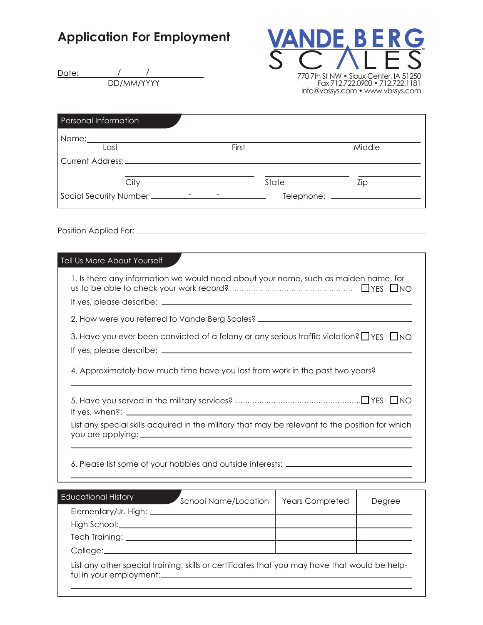## Application For Employment



Date: DD/MM/YYYY / /

| Personal Information |       |        |
|----------------------|-------|--------|
| Name: Name           |       |        |
| Last                 | First | Middle |
|                      |       |        |
| City                 | State | Zip    |
|                      |       |        |

Position Applied For:

| 1. Is there any information we would need about your name, such as maiden name, for                |
|----------------------------------------------------------------------------------------------------|
|                                                                                                    |
| 2. How were you referred to Vande Berg Scales? _________________________________                   |
| 3. Have you ever been convicted of a felony or any serious traffic violation? $\Box$ YES $\Box$ NO |
| 4. Approximately how much time have you lost from work in the past two years?                      |
|                                                                                                    |
| List any special skills acquired in the military that may be relevant to the position for which    |
| 6. Please list some of your hobbies and outside interests: _____________________                   |

| <b>Educational History</b> | School Name/Location                                                                          | <b>Years Completed</b> | Degree |
|----------------------------|-----------------------------------------------------------------------------------------------|------------------------|--------|
|                            |                                                                                               |                        |        |
|                            |                                                                                               |                        |        |
|                            |                                                                                               |                        |        |
|                            |                                                                                               |                        |        |
|                            | List any other special training, skills or certificates that you may have that would be help- |                        |        |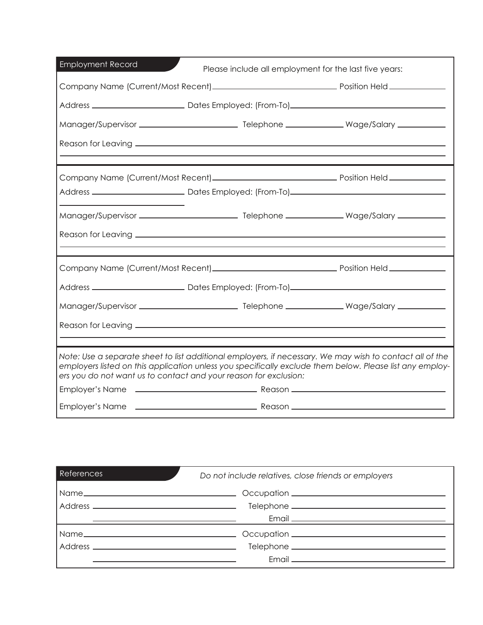| <b>Employment Record</b>                                                                                                                                                                                                                                                                 | Please include all employment for the last five years: |  |  |
|------------------------------------------------------------------------------------------------------------------------------------------------------------------------------------------------------------------------------------------------------------------------------------------|--------------------------------------------------------|--|--|
|                                                                                                                                                                                                                                                                                          |                                                        |  |  |
|                                                                                                                                                                                                                                                                                          |                                                        |  |  |
|                                                                                                                                                                                                                                                                                          |                                                        |  |  |
|                                                                                                                                                                                                                                                                                          |                                                        |  |  |
|                                                                                                                                                                                                                                                                                          |                                                        |  |  |
|                                                                                                                                                                                                                                                                                          |                                                        |  |  |
|                                                                                                                                                                                                                                                                                          |                                                        |  |  |
|                                                                                                                                                                                                                                                                                          |                                                        |  |  |
|                                                                                                                                                                                                                                                                                          |                                                        |  |  |
|                                                                                                                                                                                                                                                                                          |                                                        |  |  |
|                                                                                                                                                                                                                                                                                          |                                                        |  |  |
|                                                                                                                                                                                                                                                                                          |                                                        |  |  |
|                                                                                                                                                                                                                                                                                          |                                                        |  |  |
| Note: Use a separate sheet to list additional employers, if necessary. We may wish to contact all of the<br>employers listed on this application unless you specifically exclude them below. Please list any employ-<br>ers you do not want us to contact and your reason for exclusion: |                                                        |  |  |
|                                                                                                                                                                                                                                                                                          |                                                        |  |  |
|                                                                                                                                                                                                                                                                                          |                                                        |  |  |

| <b>References</b>                                                                                                    | Do not include relatives, close friends or employers                                                                                                                                                                               |  |
|----------------------------------------------------------------------------------------------------------------------|------------------------------------------------------------------------------------------------------------------------------------------------------------------------------------------------------------------------------------|--|
|                                                                                                                      |                                                                                                                                                                                                                                    |  |
|                                                                                                                      |                                                                                                                                                                                                                                    |  |
| <u> 1989 - Andrea Barbara, politikar esperantor estatuba estatuba estatuba estatuba estatuba estatuba estatuba e</u> | Email <b>Email Email and Email Contract and Contract and Contract and Contract and Contract and Contract and Contract and Contract and Contract and Contract and Contract and Contract and Contract and Contract and Contract </b> |  |
|                                                                                                                      |                                                                                                                                                                                                                                    |  |
|                                                                                                                      |                                                                                                                                                                                                                                    |  |
|                                                                                                                      |                                                                                                                                                                                                                                    |  |